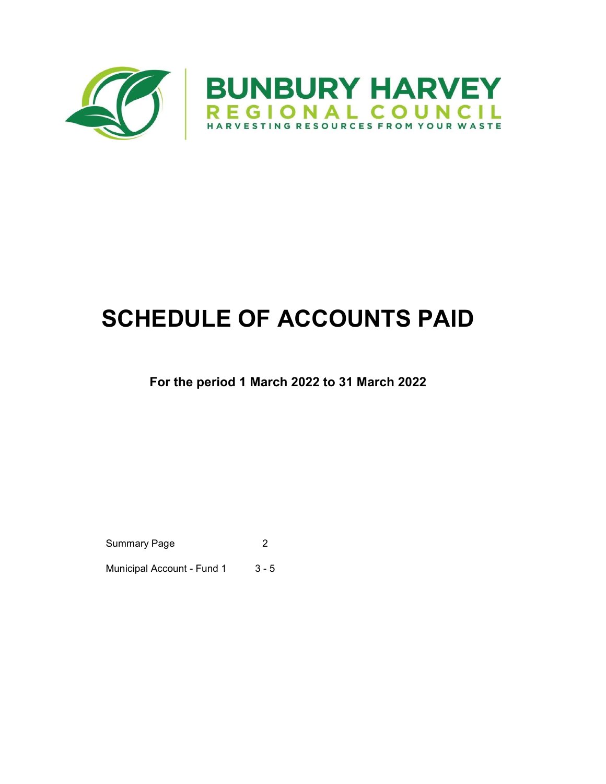

# SCHEDULE OF ACCOUNTS PAID

### For the period 1 March 2022 to 31 March 2022

Summary Page 2

Municipal Account - Fund 1 3 - 5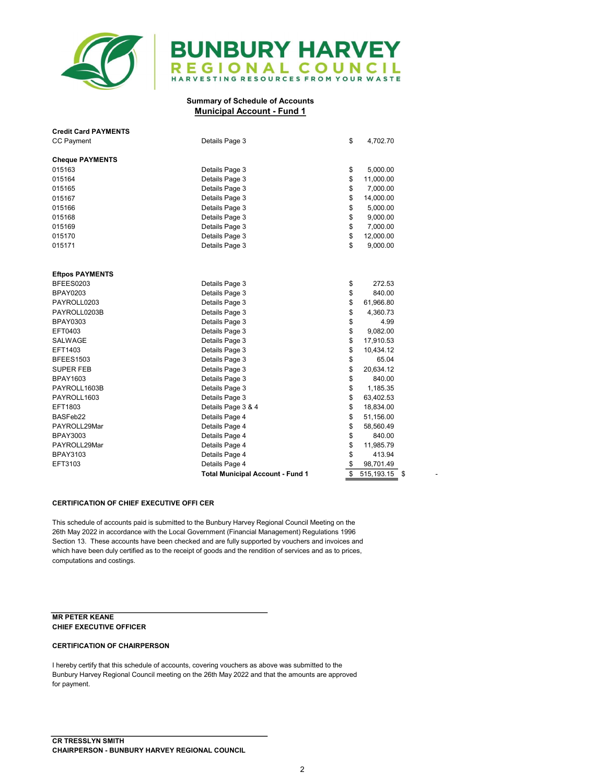

## **BUNBURY HARVEY** REGIONAL COUNCIL

#### Summary of Schedule of Accounts Municipal Account - Fund 1

| <b>Credit Card PAYMENTS</b> |                                         |          |                   |
|-----------------------------|-----------------------------------------|----------|-------------------|
| <b>CC Payment</b>           | Details Page 3                          | \$       | 4,702.70          |
| <b>Cheque PAYMENTS</b>      |                                         |          |                   |
| 015163                      | Details Page 3                          |          | 5,000.00          |
| 015164                      | Details Page 3                          | \$<br>\$ | 11,000.00         |
| 015165                      |                                         | \$       | 7,000.00          |
|                             | Details Page 3                          | \$       |                   |
| 015167                      | Details Page 3                          |          | 14,000.00         |
| 015166                      | Details Page 3                          | \$       | 5,000.00          |
| 015168                      | Details Page 3                          | \$       | 9,000.00          |
| 015169                      | Details Page 3                          | \$       | 7,000.00          |
| 015170                      | Details Page 3                          | \$       | 12,000.00         |
| 015171                      | Details Page 3                          | \$       | 9,000.00          |
|                             |                                         |          |                   |
| <b>Eftpos PAYMENTS</b>      |                                         |          |                   |
| BFEES0203                   | Details Page 3                          | \$       | 272.53            |
| <b>BPAY0203</b>             | Details Page 3                          | \$       | 840.00            |
| PAYROLL0203                 | Details Page 3                          | \$       | 61,966.80         |
| PAYROLL0203B                | Details Page 3                          | \$       | 4,360.73          |
| <b>BPAY0303</b>             | Details Page 3                          | \$       | 4.99              |
| EFT0403                     | Details Page 3                          | \$       | 9,082.00          |
| SALWAGE                     | Details Page 3                          | \$       | 17,910.53         |
| EFT1403                     | Details Page 3                          | \$       | 10,434.12         |
| <b>BFEES1503</b>            | Details Page 3                          | \$       | 65.04             |
| <b>SUPER FEB</b>            | Details Page 3                          | \$       | 20,634.12         |
| <b>BPAY1603</b>             | Details Page 3                          | \$       | 840.00            |
| PAYROLL1603B                | Details Page 3                          | \$       | 1,185.35          |
| PAYROLL1603                 | Details Page 3                          | \$       | 63,402.53         |
| EFT1803                     | Details Page 3 & 4                      | \$       | 18,834.00         |
| BASFeb22                    | Details Page 4                          | \$       | 51,156.00         |
| PAYROLL29Mar                | Details Page 4                          | \$       | 58,560.49         |
| <b>BPAY3003</b>             | Details Page 4                          | \$       | 840.00            |
| PAYROLL29Mar                | Details Page 4                          | \$       | 11,985.79         |
| <b>BPAY3103</b>             | Details Page 4                          | \$       | 413.94            |
| EFT3103                     | Details Page 4                          | \$       | 98,701.49         |
|                             | <b>Total Municipal Account - Fund 1</b> | \$       | 515, 193.15<br>\$ |

#### CERTIFICATION OF CHIEF EXECUTIVE OFFI CER

This schedule of accounts paid is submitted to the Bunbury Harvey Regional Council Meeting on the 26th May 2022 in accordance with the Local Government (Financial Management) Regulations 1996 Section 13. These accounts have been checked and are fully supported by vouchers and invoices and which have been duly certified as to the receipt of goods and the rendition of services and as to prices, computations and costings.

#### MR PETER KEANE CHIEF EXECUTIVE OFFICER

#### CERTIFICATION OF CHAIRPERSON

I hereby certify that this schedule of accounts, covering vouchers as above was submitted to the Bunbury Harvey Regional Council meeting on the 26th May 2022 and that the amounts are approved for payment.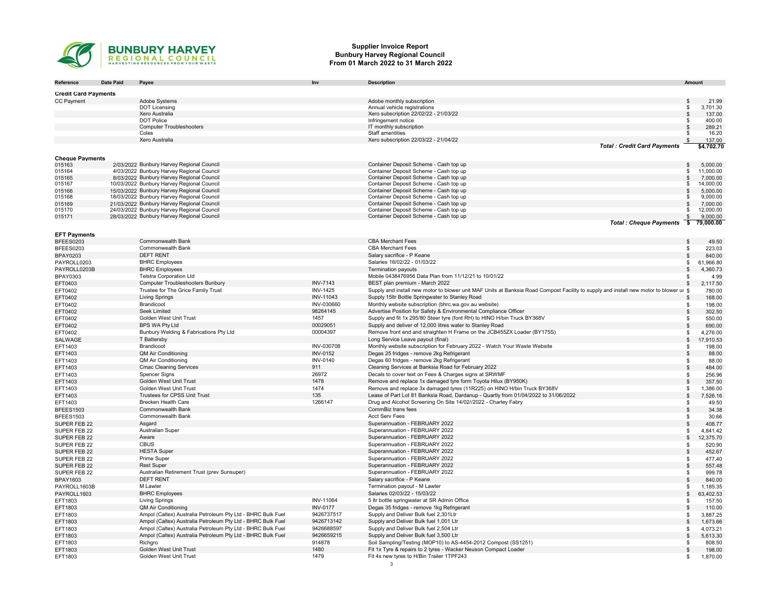

#### Supplier Invoice Report Bunbury Harvey Regional Council From 01 March 2022 to 31 March 2022

| Reference                    | <b>Date Paid</b> | Payee                                                                                  | Inv             | <b>Description</b>                                                                                                                     | Amount              |                       |
|------------------------------|------------------|----------------------------------------------------------------------------------------|-----------------|----------------------------------------------------------------------------------------------------------------------------------------|---------------------|-----------------------|
|                              |                  |                                                                                        |                 |                                                                                                                                        |                     |                       |
| <b>Credit Card Payments</b>  |                  |                                                                                        |                 |                                                                                                                                        |                     |                       |
| CC Payment                   |                  | Adobe Systems                                                                          |                 | Adobe monthly subscription                                                                                                             | $\sqrt[6]{3}$       | 21.99                 |
|                              |                  | <b>DOT Licensing</b><br>Xero Australia                                                 |                 | Annual vehicle registrations<br>Xero subscription 22/02/22 - 21/03/22                                                                  | \$.                 | 3,701.30              |
|                              |                  | <b>DOT Police</b>                                                                      |                 | Infringement notice                                                                                                                    | $\sqrt[6]{3}$       | 137.00<br>400.00      |
|                              |                  | <b>Computer Troubleshooters</b>                                                        |                 | IT monthly subscription                                                                                                                | $\mathfrak{s}$      | 289.21                |
|                              |                  | Coles                                                                                  |                 | Staff amentities                                                                                                                       |                     | 16.20                 |
|                              |                  | Xero Australia                                                                         |                 | Xero subscription 22/03/22 - 21/04/22                                                                                                  |                     | 137.00                |
|                              |                  |                                                                                        |                 | <b>Total: Credit Card Payments</b>                                                                                                     |                     | \$4,702.70            |
|                              |                  |                                                                                        |                 |                                                                                                                                        |                     |                       |
| <b>Cheque Payments</b>       |                  |                                                                                        |                 |                                                                                                                                        |                     |                       |
| 015163<br>015164             |                  | 2/03/2022 Bunbury Harvey Regional Council<br>4/03/2022 Bunbury Harvey Regional Council |                 | Container Deposit Scheme - Cash top up<br>Container Deposit Scheme - Cash top up                                                       | \$<br>\$.           | 5,000.00<br>11,000.00 |
| 015165                       |                  | 8/03/2022 Bunbury Harvey Regional Council                                              |                 | Container Deposit Scheme - Cash top up                                                                                                 | $\mathfrak{s}$      | 7,000.00              |
| 015167                       |                  | 10/03/2022 Bunbury Harvey Regional Council                                             |                 | Container Deposit Scheme - Cash top up                                                                                                 | \$                  | 14,000.00             |
| 015166                       |                  | 15/03/2022 Bunbury Harvey Regional Council                                             |                 | Container Deposit Scheme - Cash top up                                                                                                 | $\mathfrak{L}$      | 5.000.00              |
| 015168                       |                  | 18/03/2022 Bunbury Harvey Regional Council                                             |                 | Container Deposit Scheme - Cash top up                                                                                                 |                     | 9,000.00              |
| 015169                       |                  | 21/03/2022 Bunbury Harvey Regional Council                                             |                 | Container Deposit Scheme - Cash top up                                                                                                 |                     | 7,000.00              |
| 015170                       |                  | 24/03/2022 Bunbury Harvey Regional Council                                             |                 | Container Deposit Scheme - Cash top up                                                                                                 |                     | 12,000.00             |
| 015171                       |                  | 28/03/2022 Bunbury Harvey Regional Council                                             |                 | Container Deposit Scheme - Cash top up                                                                                                 |                     | 9,000.00              |
|                              |                  |                                                                                        |                 | <b>Total: Cheque Payments</b>                                                                                                          | $\overline{\cdot}$  | 79,000.00             |
| <b>EFT Payments</b>          |                  |                                                                                        |                 |                                                                                                                                        |                     |                       |
| BFEES0203                    |                  | Commonwealth Bank                                                                      |                 | <b>CBA Merchant Fees</b>                                                                                                               | $\mathfrak{L}$      | 49.50                 |
| BFEES0203                    |                  | Commonwealth Bank                                                                      |                 | <b>CBA Merchant Fees</b>                                                                                                               | \$                  | 223.03                |
| BPAY0203                     |                  | <b>DEFT RENT</b>                                                                       |                 | Salary sacrifice - P Keane                                                                                                             | \$                  | 840.00                |
| PAYROLL0203                  |                  | <b>BHRC</b> Employees                                                                  |                 | Salaries 16/02/22 - 01/03/22                                                                                                           | \$.                 | 61,966.80             |
| PAYROLL0203B                 |                  | <b>BHRC</b> Employees                                                                  |                 | <b>Termination payouts</b>                                                                                                             | $\mathfrak{s}$      | 4,360.73              |
| BPAY0303                     |                  | <b>Telstra Corporation Ltd</b>                                                         |                 | Mobile 0438476956 Data Plan from 11/12/21 to 10/01/22                                                                                  | \$                  | 4.99                  |
| EFT0403                      |                  | <b>Computer Troubleshooters Bunbury</b>                                                | <b>INV-7143</b> | BEST plan premium - March 2022                                                                                                         | \$                  | 2,117.50              |
| EFT0402                      |                  | Trustee for The Grice Family Trust                                                     | <b>INV-1425</b> | Supply and install new motor to blower unit MAF Units at Banksia Road Compost Facility to supply and install new motor to blower ur \$ |                     | 780.00                |
| EFT0402                      |                  | <b>Living Springs</b>                                                                  | INV-11043       | Supply 15ltr Bottle Springwater to Stanley Road                                                                                        | $\mathfrak{s}$      | 168.00                |
| EFT0402                      |                  | Brandicoot                                                                             | INV-030660      | Monthly website subscription (bhrc.wa.gov.au website)                                                                                  | -\$                 | 198.00                |
| EFT0402                      |                  | Seek Limited                                                                           | 98264145        | Advertise Position for Safety & Environmental Compliance Officer                                                                       | \$                  | 302.50                |
| EFT0402                      |                  | Golden West Unit Trust                                                                 | 1457            | Supply and fit 1x 295/80 Steer tyre (font RH) to HINO H/bin Truck BY368V                                                               | \$                  | 550.00                |
| EFT0402                      |                  | <b>BPS WA Ptv Ltd</b>                                                                  | 00029051        | Supply and deliver of 12,000 litres water to Stanley Road                                                                              | $\mathfrak s$       | 690.00                |
| EFT0402                      |                  | Bunbury Welding & Fabrications Pty Ltd                                                 | 00004397        | Remove front end and straighten H Frame on the JCB455ZX Loader (BY175S)                                                                | \$                  | 4,276.00              |
| SALWAGE                      |                  | T Battersby                                                                            |                 | Long Service Leave payout (final)                                                                                                      | $\mathbb{S}$        | 17,910.53             |
| EFT1403                      |                  | Brandicoot                                                                             | INV-030708      | Monthly website subscription for February 2022 - Watch Your Waste Website                                                              | \$                  | 198.00                |
| EFT1403                      |                  | QM Air Conditioning                                                                    | <b>INV-0152</b> | Degas 25 fridges - remove 2kg Refrigerant                                                                                              | $\mathfrak{s}$      | 88.00                 |
| EFT1403                      |                  | <b>QM Air Conditioning</b>                                                             | <b>INV-0140</b> | Degas 60 fridges - remove 2kg Refrigerant                                                                                              | -\$                 | 88.00                 |
| EFT1403                      |                  | <b>Cmac Cleaning Services</b>                                                          | 911             | Cleaning Services at Banksia Road for February 2022                                                                                    | $\mathfrak{s}$      | 484.00                |
| EFT1403                      |                  | <b>Spencer Signs</b>                                                                   | 26972           | Decals to cover text on Fees & Charges signs at SRWMF                                                                                  | \$                  | 256.96                |
| EFT1403                      |                  | Golden West Unit Trust                                                                 | 1478            | Remove and replace 1x damaged tyre form Toyota Hilux (BY950K)                                                                          | $\sqrt[6]{3}$       | 357.50                |
| EFT1403                      |                  | Golden West Unit Trust                                                                 | 1474            | Remove and replace 3x damaged tyres (11R225) on HINO H/bin Truck BY368V                                                                | \$                  | 1,386.00              |
| EFT1403                      |                  | Trustees for CPSS Unit Trust                                                           | 135             | Lease of Part Lot 81 Banksia Road, Dardanup - Quartly from 01/04/2022 to 31/06/2022                                                    | $\mathbb{S}$        | 7,526.16              |
| EFT1403                      |                  | <b>Brecken Health Care</b>                                                             | 1266147         | Drug and Alcohol Screening On Site 14/02//2022 - Charley Fabry                                                                         | \$                  | 49.50                 |
| BFEES1503                    |                  | <b>Commonwealth Bank</b>                                                               |                 | CommBiz trans fees                                                                                                                     | $\sqrt[6]{3}$       | 34.38                 |
| BFEES1503                    |                  | Commonwealth Bank                                                                      |                 | <b>Acct Serv Fees</b>                                                                                                                  | \$                  | 30.66                 |
| SUPER FEB 22                 |                  | Asgard                                                                                 |                 | Superannuation - FEBRUARY 2022                                                                                                         | $\mathfrak s$       | 408.77                |
| SUPER FEB 22                 |                  | <b>Australian Super</b>                                                                |                 | Superannuation - FEBRUARY 2022                                                                                                         | \$                  | 4,841.42              |
| SUPER FEB 22                 |                  | Aware                                                                                  |                 | Superannuation - FEBRUARY 2022                                                                                                         | $\mathfrak s$       | 12,375.70             |
| SUPER FEB 22                 |                  | <b>CBUS</b><br><b>HESTA Super</b>                                                      |                 | Superannuation - FEBRUARY 2022<br>Superannuation - FEBRUARY 2022                                                                       | \$<br>$\mathcal{F}$ | 520.90                |
| SUPER FEB 22                 |                  | Prime Super                                                                            |                 | Superannuation - FEBRUARY 2022                                                                                                         |                     | 452.67                |
| SUPER FEB 22<br>SUPER FEB 22 |                  | <b>Rest Super</b>                                                                      |                 | Superannuation - FEBRUARY 2022                                                                                                         | \$<br>$\mathbb{S}$  | 477.40<br>557.48      |
| SUPER FEB 22                 |                  | Australian Retirement Trust (prev Sunsuper)                                            |                 | Superannuation - FEBRUARY 2022                                                                                                         | \$                  | 999.78                |
| BPAY1603                     |                  | <b>DEFT RENT</b>                                                                       |                 | Salary sacrifice - P Keane                                                                                                             | $\sqrt[6]{3}$       | 840.00                |
| PAYROLL1603B                 |                  | M Lawler                                                                               |                 | Termination payout - M Lawler                                                                                                          | \$                  | 1,185.35              |
| PAYROLL1603                  |                  | <b>BHRC</b> Employees                                                                  |                 | Salaries 02/03/22 - 15/03/22                                                                                                           | $\sqrt[6]{3}$       | 63,402.53             |
| EFT1803                      |                  | <b>Living Springs</b>                                                                  | INV-11064       | 5 Itr bottle springwater at SR Admin Office                                                                                            | \$                  | 157.50                |
| EFT1803                      |                  | <b>QM Air Conditioning</b>                                                             | <b>INV-0177</b> | Degas 35 fridges - remove 1kg Refrigerant                                                                                              | \$                  | 110.00                |
| EFT1803                      |                  | Ampol (Caltex) Australia Petroleum Pty Ltd - BHRC Bulk Fuel                            | 9426737517      | Supply and Deliver Bulk fuel 2,301Ltr                                                                                                  | \$                  | 3,887.25              |
| EFT1803                      |                  | Ampol (Caltex) Australia Petroleum Pty Ltd - BHRC Bulk Fuel                            | 9426713142      | Supply and Deliver Bulk fuel 1,001 Ltr                                                                                                 | $\mathbb{S}$        | 1,673.66              |
| EFT1803                      |                  | Ampol (Caltex) Australia Petroleum Pty Ltd - BHRC Bulk Fuel                            | 9426688597      | Supply and Deliver Bulk fuel 2,504 Ltr                                                                                                 | \$                  | 4,073.21              |
| EFT1803                      |                  | Ampol (Caltex) Australia Petroleum Pty Ltd - BHRC Bulk Fuel                            | 9426659215      | Supply and Deliver Bulk fuel 3,500 Ltr                                                                                                 | $\sqrt[6]{3}$       | 5,613.30              |
| EFT1803                      |                  | Richgro                                                                                | 914878          | Soil Sampling/Testing (MOP10) to AS-4454-2012 Compost (SS1251)                                                                         | \$                  | 808.50                |
| EFT1803                      |                  | Golden West Unit Trust                                                                 | 1480            | Fit 1x Tyre & repairs to 2 tyres - Wacker Neuson Compact Loader                                                                        | $\mathbf{s}$        | 198.00                |
| EFT1803                      |                  | Golden West Unit Trust                                                                 | 1479            | Fit 4x new tyres to H/Bin Trailer 1TPF243                                                                                              | \$                  | 1,870.00              |
|                              |                  |                                                                                        |                 | 3                                                                                                                                      |                     |                       |